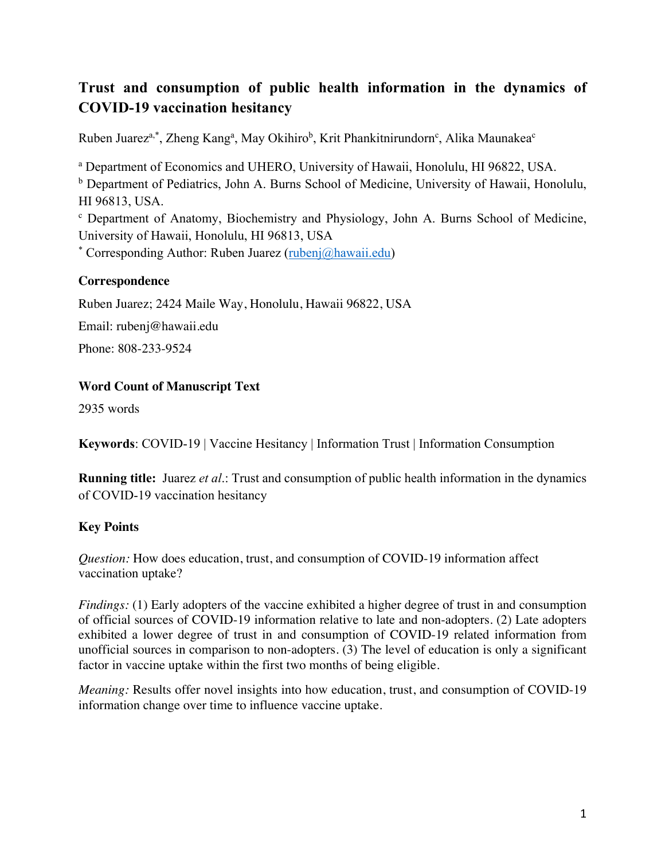# **Trust and consumption of public health information in the dynamics of COVID-19 vaccination hesitancy**

Ruben Juarez<sup>a,\*</sup>, Zheng Kang<sup>a</sup>, May Okihiro<sup>b</sup>, Krit Phankitnirundorn<sup>c</sup>, Alika Maunakea<sup>c</sup>

<sup>a</sup> Department of Economics and UHERO, University of Hawaii, Honolulu, HI 96822, USA.

<sup>b</sup> Department of Pediatrics, John A. Burns School of Medicine, University of Hawaii, Honolulu, HI 96813, USA.

<sup>c</sup> Department of Anatomy, Biochemistry and Physiology, John A. Burns School of Medicine, University of Hawaii, Honolulu, HI 96813, USA

\* Corresponding Author: Ruben Juarez (rubenj@hawaii.edu)

# **Correspondence**

Ruben Juarez; 2424 Maile Way, Honolulu, Hawaii 96822, USA

Email: rubenj@hawaii.edu

Phone: 808-233-9524

### **Word Count of Manuscript Text**

2935 words

**Keywords**: COVID-19 | Vaccine Hesitancy | Information Trust | Information Consumption

**Running title:** Juarez *et al*.: Trust and consumption of public health information in the dynamics of COVID-19 vaccination hesitancy

### **Key Points**

*Question:* How does education, trust, and consumption of COVID-19 information affect vaccination uptake?

*Findings:* (1) Early adopters of the vaccine exhibited a higher degree of trust in and consumption of official sources of COVID-19 information relative to late and non-adopters. (2) Late adopters exhibited a lower degree of trust in and consumption of COVID-19 related information from unofficial sources in comparison to non-adopters. (3) The level of education is only a significant factor in vaccine uptake within the first two months of being eligible.

*Meaning:* Results offer novel insights into how education, trust, and consumption of COVID-19 information change over time to influence vaccine uptake.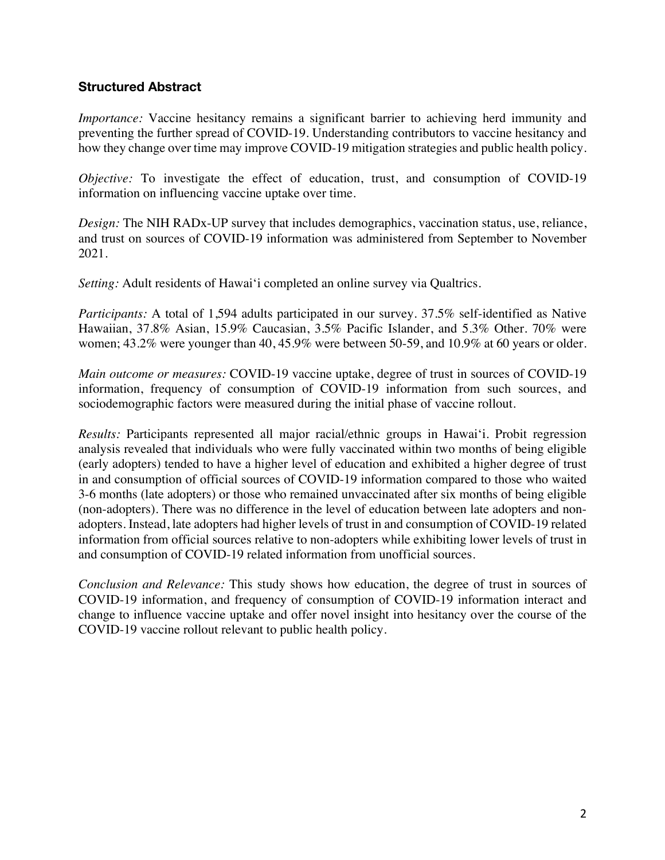# **Structured Abstract**

*Importance:* Vaccine hesitancy remains a significant barrier to achieving herd immunity and preventing the further spread of COVID-19. Understanding contributors to vaccine hesitancy and how they change over time may improve COVID-19 mitigation strategies and public health policy.

*Objective:* To investigate the effect of education, trust, and consumption of COVID-19 information on influencing vaccine uptake over time.

*Design:* The NIH RADx-UP survey that includes demographics, vaccination status, use, reliance, and trust on sources of COVID-19 information was administered from September to November 2021.

*Setting:* Adult residents of Hawai'i completed an online survey via Qualtrics.

*Participants:* A total of 1,594 adults participated in our survey. 37.5% self-identified as Native Hawaiian, 37.8% Asian, 15.9% Caucasian, 3.5% Pacific Islander, and 5.3% Other. 70% were women; 43.2% were younger than 40, 45.9% were between 50-59, and 10.9% at 60 years or older.

*Main outcome or measures:* COVID-19 vaccine uptake, degree of trust in sources of COVID-19 information, frequency of consumption of COVID-19 information from such sources, and sociodemographic factors were measured during the initial phase of vaccine rollout.

*Results:* Participants represented all major racial/ethnic groups in Hawaiʻi. Probit regression analysis revealed that individuals who were fully vaccinated within two months of being eligible (early adopters) tended to have a higher level of education and exhibited a higher degree of trust in and consumption of official sources of COVID-19 information compared to those who waited 3-6 months (late adopters) or those who remained unvaccinated after six months of being eligible (non-adopters). There was no difference in the level of education between late adopters and nonadopters. Instead, late adopters had higher levels of trust in and consumption of COVID-19 related information from official sources relative to non-adopters while exhibiting lower levels of trust in and consumption of COVID-19 related information from unofficial sources.

*Conclusion and Relevance:* This study shows how education, the degree of trust in sources of COVID-19 information, and frequency of consumption of COVID-19 information interact and change to influence vaccine uptake and offer novel insight into hesitancy over the course of the COVID-19 vaccine rollout relevant to public health policy.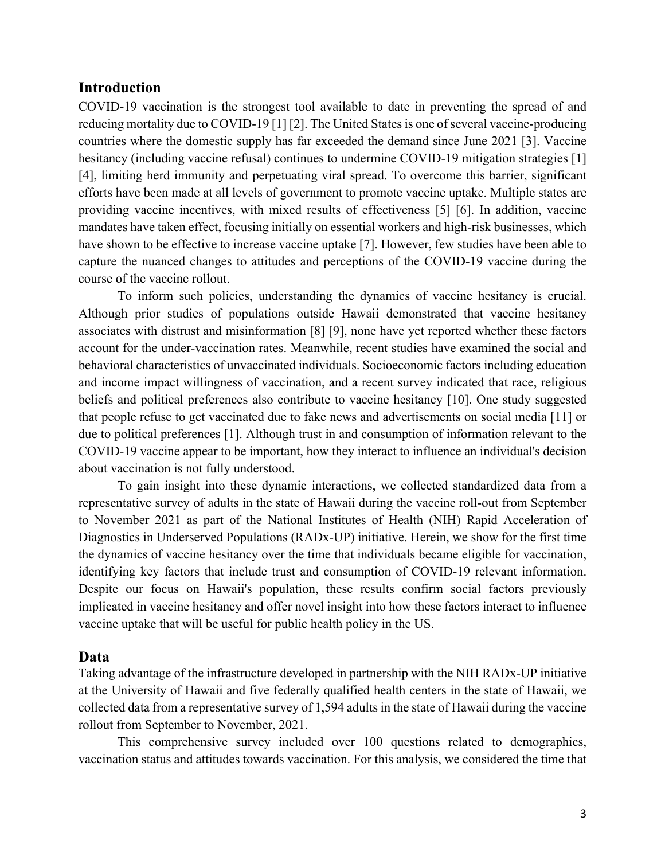### **Introduction**

COVID-19 vaccination is the strongest tool available to date in preventing the spread of and reducing mortality due to COVID-19 [1] [2]. The United States is one of several vaccine-producing countries where the domestic supply has far exceeded the demand since June 2021 [3]. Vaccine hesitancy (including vaccine refusal) continues to undermine COVID-19 mitigation strategies [1] [4], limiting herd immunity and perpetuating viral spread. To overcome this barrier, significant efforts have been made at all levels of government to promote vaccine uptake. Multiple states are providing vaccine incentives, with mixed results of effectiveness [5] [6]. In addition, vaccine mandates have taken effect, focusing initially on essential workers and high-risk businesses, which have shown to be effective to increase vaccine uptake [7]. However, few studies have been able to capture the nuanced changes to attitudes and perceptions of the COVID-19 vaccine during the course of the vaccine rollout.

To inform such policies, understanding the dynamics of vaccine hesitancy is crucial. Although prior studies of populations outside Hawaii demonstrated that vaccine hesitancy associates with distrust and misinformation [8] [9], none have yet reported whether these factors account for the under-vaccination rates. Meanwhile, recent studies have examined the social and behavioral characteristics of unvaccinated individuals. Socioeconomic factors including education and income impact willingness of vaccination, and a recent survey indicated that race, religious beliefs and political preferences also contribute to vaccine hesitancy [10]. One study suggested that people refuse to get vaccinated due to fake news and advertisements on social media [11] or due to political preferences [1]. Although trust in and consumption of information relevant to the COVID-19 vaccine appear to be important, how they interact to influence an individual's decision about vaccination is not fully understood.

To gain insight into these dynamic interactions, we collected standardized data from a representative survey of adults in the state of Hawaii during the vaccine roll-out from September to November 2021 as part of the National Institutes of Health (NIH) Rapid Acceleration of Diagnostics in Underserved Populations (RADx-UP) initiative. Herein, we show for the first time the dynamics of vaccine hesitancy over the time that individuals became eligible for vaccination, identifying key factors that include trust and consumption of COVID-19 relevant information. Despite our focus on Hawaii's population, these results confirm social factors previously implicated in vaccine hesitancy and offer novel insight into how these factors interact to influence vaccine uptake that will be useful for public health policy in the US.

### **Data**

Taking advantage of the infrastructure developed in partnership with the NIH RADx-UP initiative at the University of Hawaii and five federally qualified health centers in the state of Hawaii, we collected data from a representative survey of 1,594 adults in the state of Hawaii during the vaccine rollout from September to November, 2021.

This comprehensive survey included over 100 questions related to demographics, vaccination status and attitudes towards vaccination. For this analysis, we considered the time that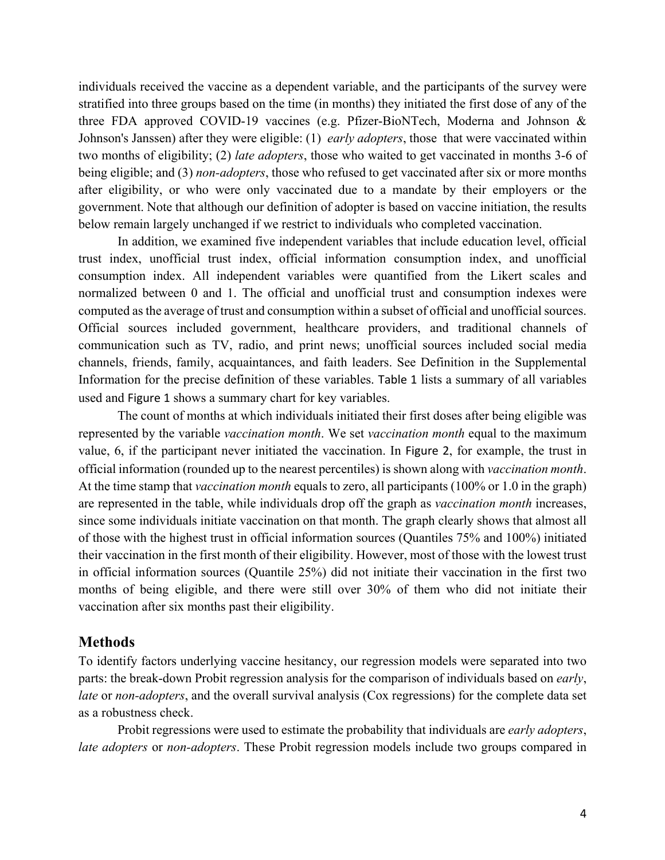individuals received the vaccine as a dependent variable, and the participants of the survey were stratified into three groups based on the time (in months) they initiated the first dose of any of the three FDA approved COVID-19 vaccines (e.g. Pfizer-BioNTech, Moderna and Johnson & Johnson's Janssen) after they were eligible: (1) *early adopters*, those that were vaccinated within two months of eligibility; (2) *late adopters*, those who waited to get vaccinated in months 3-6 of being eligible; and (3) *non-adopters*, those who refused to get vaccinated after six or more months after eligibility, or who were only vaccinated due to a mandate by their employers or the government. Note that although our definition of adopter is based on vaccine initiation, the results below remain largely unchanged if we restrict to individuals who completed vaccination.

In addition, we examined five independent variables that include education level, official trust index, unofficial trust index, official information consumption index, and unofficial consumption index. All independent variables were quantified from the Likert scales and normalized between 0 and 1. The official and unofficial trust and consumption indexes were computed as the average of trust and consumption within a subset of official and unofficial sources. Official sources included government, healthcare providers, and traditional channels of communication such as TV, radio, and print news; unofficial sources included social media channels, friends, family, acquaintances, and faith leaders. See Definition in the Supplemental Information for the precise definition of these variables. Table 1 lists a summary of all variables used and Figure 1 shows a summary chart for key variables.

The count of months at which individuals initiated their first doses after being eligible was represented by the variable *vaccination month*. We set *vaccination month* equal to the maximum value, 6, if the participant never initiated the vaccination. In Figure 2, for example, the trust in official information (rounded up to the nearest percentiles) is shown along with *vaccination month*. At the time stamp that *vaccination month* equals to zero, all participants (100% or 1.0 in the graph) are represented in the table, while individuals drop off the graph as *vaccination month* increases, since some individuals initiate vaccination on that month. The graph clearly shows that almost all of those with the highest trust in official information sources (Quantiles 75% and 100%) initiated their vaccination in the first month of their eligibility. However, most of those with the lowest trust in official information sources (Quantile 25%) did not initiate their vaccination in the first two months of being eligible, and there were still over 30% of them who did not initiate their vaccination after six months past their eligibility.

#### **Methods**

To identify factors underlying vaccine hesitancy, our regression models were separated into two parts: the break-down Probit regression analysis for the comparison of individuals based on *early*, *late* or *non-adopters*, and the overall survival analysis (Cox regressions) for the complete data set as a robustness check.

Probit regressions were used to estimate the probability that individuals are *early adopters*, *late adopters* or *non-adopters*. These Probit regression models include two groups compared in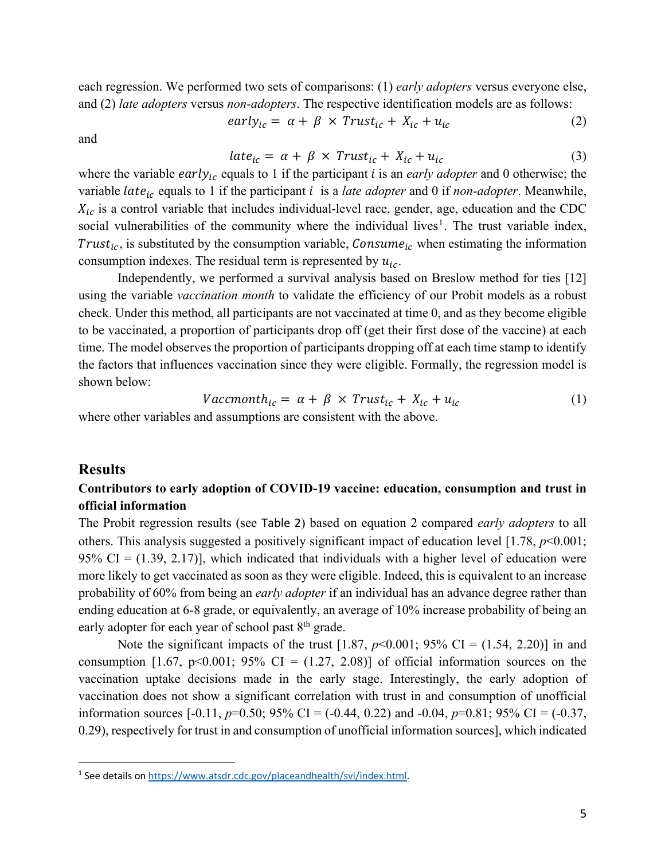each regression. We performed two sets of comparisons: (1) *early adopters* versus everyone else, and (2) *late adopters* versus *non-adopters*. The respective identification models are as follows:

 $early_{ic} = \alpha + \beta \times Trust_{ic} + X_{ic} + u_{ic}$  (2)

and

$$
late_{ic} = \alpha + \beta \times Trust_{ic} + X_{ic} + u_{ic}
$$
 (3)

where the variable  $early_{ic}$  equals to 1 if the participant  $i$  is an *early adopter* and 0 otherwise; the variable *late<sub>ic</sub>* equals to 1 if the participant *i* is a *late adopter* and 0 if *non-adopter*. Meanwhile,  $X_{ic}$  is a control variable that includes individual-level race, gender, age, education and the CDC social vulnerabilities of the community where the individual lives<sup>1</sup>. The trust variable index, Trust<sub>ic</sub>, is substituted by the consumption variable, Consume<sub>ic</sub> when estimating the information consumption indexes. The residual term is represented by  $u_{ic}$ .

Independently, we performed a survival analysis based on Breslow method for ties [12] using the variable *vaccination month* to validate the efficiency of our Probit models as a robust check. Under this method, all participants are not vaccinated at time 0, and as they become eligible to be vaccinated, a proportion of participants drop off (get their first dose of the vaccine) at each time. The model observes the proportion of participants dropping off at each time stamp to identify the factors that influences vaccination since they were eligible. Formally, the regression model is shown below:

$$
Vaccmonth_{ic} = \alpha + \beta \times Trust_{ic} + X_{ic} + u_{ic}
$$
 (1)

where other variables and assumptions are consistent with the above.

### **Results**

### **Contributors to early adoption of COVID-19 vaccine: education, consumption and trust in official information**

The Probit regression results (see Table 2) based on equation 2 compared *early adopters* to all others. This analysis suggested a positively significant impact of education level [1.78, *p*<0.001; 95% CI =  $(1.39, 2.17)$ ], which indicated that individuals with a higher level of education were more likely to get vaccinated as soon as they were eligible. Indeed, this is equivalent to an increase probability of 60% from being an *early adopter* if an individual has an advance degree rather than ending education at 6-8 grade, or equivalently, an average of 10% increase probability of being an early adopter for each year of school past 8<sup>th</sup> grade.

Note the significant impacts of the trust [1.87,  $p$ <0.001; 95% CI = (1.54, 2.20)] in and consumption [1.67, p<0.001; 95% CI =  $(1.27, 2.08)$ ] of official information sources on the vaccination uptake decisions made in the early stage. Interestingly, the early adoption of vaccination does not show a significant correlation with trust in and consumption of unofficial information sources [-0.11, *p*=0.50; 95% CI = (-0.44, 0.22) and -0.04, *p*=0.81; 95% CI = (-0.37, 0.29), respectively for trust in and consumption of unofficial information sources], which indicated

<sup>1</sup> See details on https://www.atsdr.cdc.gov/placeandhealth/svi/index.html.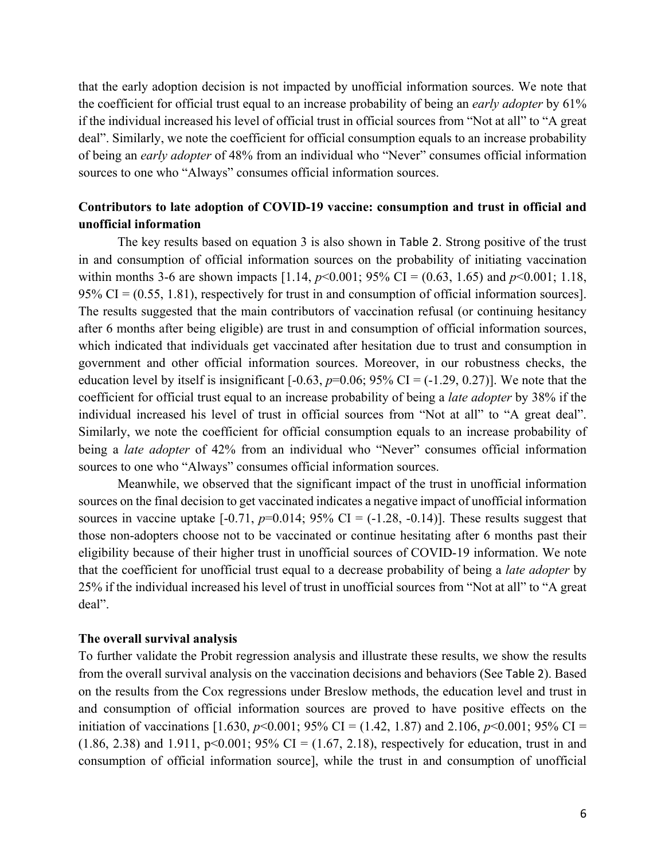that the early adoption decision is not impacted by unofficial information sources. We note that the coefficient for official trust equal to an increase probability of being an *early adopter* by 61% if the individual increased his level of official trust in official sources from "Not at all" to "A great deal". Similarly, we note the coefficient for official consumption equals to an increase probability of being an *early adopter* of 48% from an individual who "Never" consumes official information sources to one who "Always" consumes official information sources.

### **Contributors to late adoption of COVID-19 vaccine: consumption and trust in official and unofficial information**

The key results based on equation 3 is also shown in Table 2. Strong positive of the trust in and consumption of official information sources on the probability of initiating vaccination within months 3-6 are shown impacts [1.14,  $p<0.001$ ; 95% CI = (0.63, 1.65) and  $p<0.001$ ; 1.18, 95% CI =  $(0.55, 1.81)$ , respectively for trust in and consumption of official information sources]. The results suggested that the main contributors of vaccination refusal (or continuing hesitancy after 6 months after being eligible) are trust in and consumption of official information sources, which indicated that individuals get vaccinated after hesitation due to trust and consumption in government and other official information sources. Moreover, in our robustness checks, the education level by itself is insignificant  $[-0.63, p=0.06; 95\% \text{ CI} = (-1.29, 0.27)]$ . We note that the coefficient for official trust equal to an increase probability of being a *late adopter* by 38% if the individual increased his level of trust in official sources from "Not at all" to "A great deal". Similarly, we note the coefficient for official consumption equals to an increase probability of being a *late adopter* of 42% from an individual who "Never" consumes official information sources to one who "Always" consumes official information sources.

Meanwhile, we observed that the significant impact of the trust in unofficial information sources on the final decision to get vaccinated indicates a negative impact of unofficial information sources in vaccine uptake  $[-0.71, p=0.014; 95\% \text{ CI} = (-1.28, -0.14)]$ . These results suggest that those non-adopters choose not to be vaccinated or continue hesitating after 6 months past their eligibility because of their higher trust in unofficial sources of COVID-19 information. We note that the coefficient for unofficial trust equal to a decrease probability of being a *late adopter* by 25% if the individual increased his level of trust in unofficial sources from "Not at all" to "A great deal".

### **The overall survival analysis**

To further validate the Probit regression analysis and illustrate these results, we show the results from the overall survival analysis on the vaccination decisions and behaviors (See Table 2). Based on the results from the Cox regressions under Breslow methods, the education level and trust in and consumption of official information sources are proved to have positive effects on the initiation of vaccinations [1.630,  $p$ <0.001; 95% CI = (1.42, 1.87) and 2.106,  $p$ <0.001; 95% CI =  $(1.86, 2.38)$  and  $1.911$ , p<0.001; 95% CI =  $(1.67, 2.18)$ , respectively for education, trust in and consumption of official information source], while the trust in and consumption of unofficial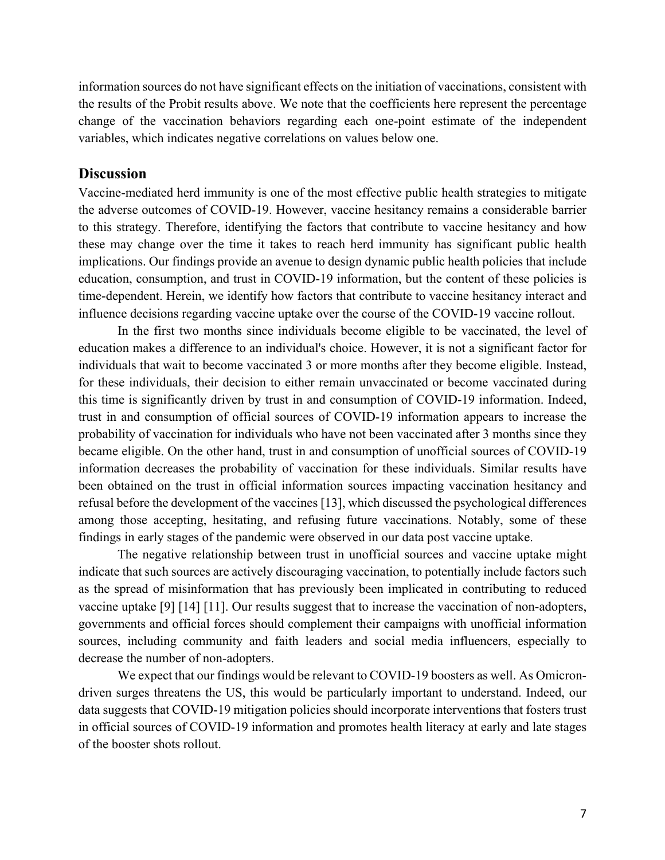information sources do not have significant effects on the initiation of vaccinations, consistent with the results of the Probit results above. We note that the coefficients here represent the percentage change of the vaccination behaviors regarding each one-point estimate of the independent variables, which indicates negative correlations on values below one.

### **Discussion**

Vaccine-mediated herd immunity is one of the most effective public health strategies to mitigate the adverse outcomes of COVID-19. However, vaccine hesitancy remains a considerable barrier to this strategy. Therefore, identifying the factors that contribute to vaccine hesitancy and how these may change over the time it takes to reach herd immunity has significant public health implications. Our findings provide an avenue to design dynamic public health policies that include education, consumption, and trust in COVID-19 information, but the content of these policies is time-dependent. Herein, we identify how factors that contribute to vaccine hesitancy interact and influence decisions regarding vaccine uptake over the course of the COVID-19 vaccine rollout.

In the first two months since individuals become eligible to be vaccinated, the level of education makes a difference to an individual's choice. However, it is not a significant factor for individuals that wait to become vaccinated 3 or more months after they become eligible. Instead, for these individuals, their decision to either remain unvaccinated or become vaccinated during this time is significantly driven by trust in and consumption of COVID-19 information. Indeed, trust in and consumption of official sources of COVID-19 information appears to increase the probability of vaccination for individuals who have not been vaccinated after 3 months since they became eligible. On the other hand, trust in and consumption of unofficial sources of COVID-19 information decreases the probability of vaccination for these individuals. Similar results have been obtained on the trust in official information sources impacting vaccination hesitancy and refusal before the development of the vaccines [13], which discussed the psychological differences among those accepting, hesitating, and refusing future vaccinations. Notably, some of these findings in early stages of the pandemic were observed in our data post vaccine uptake.

The negative relationship between trust in unofficial sources and vaccine uptake might indicate that such sources are actively discouraging vaccination, to potentially include factors such as the spread of misinformation that has previously been implicated in contributing to reduced vaccine uptake [9] [14] [11]. Our results suggest that to increase the vaccination of non-adopters, governments and official forces should complement their campaigns with unofficial information sources, including community and faith leaders and social media influencers, especially to decrease the number of non-adopters.

We expect that our findings would be relevant to COVID-19 boosters as well. As Omicrondriven surges threatens the US, this would be particularly important to understand. Indeed, our data suggests that COVID-19 mitigation policies should incorporate interventions that fosters trust in official sources of COVID-19 information and promotes health literacy at early and late stages of the booster shots rollout.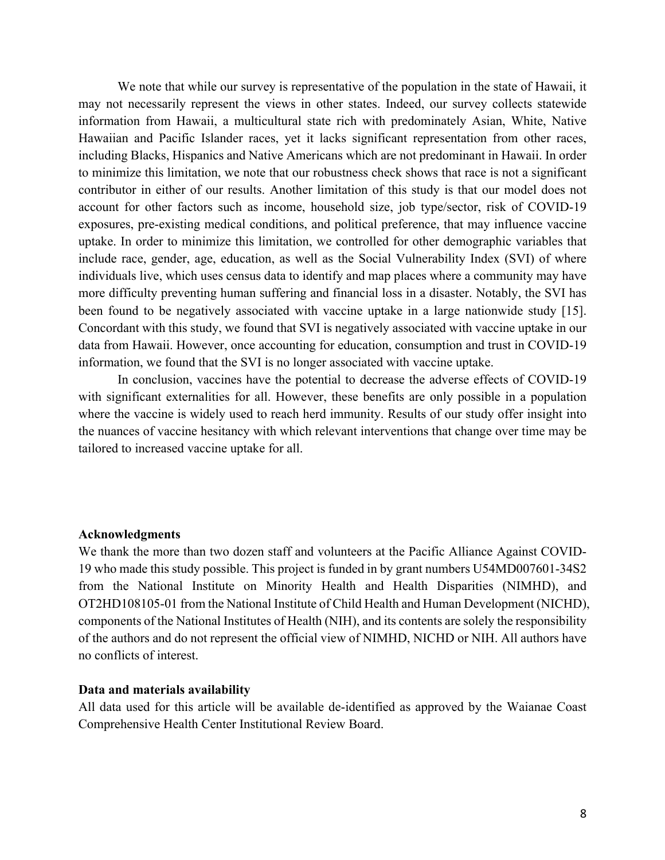We note that while our survey is representative of the population in the state of Hawaii, it may not necessarily represent the views in other states. Indeed, our survey collects statewide information from Hawaii, a multicultural state rich with predominately Asian, White, Native Hawaiian and Pacific Islander races, yet it lacks significant representation from other races, including Blacks, Hispanics and Native Americans which are not predominant in Hawaii. In order to minimize this limitation, we note that our robustness check shows that race is not a significant contributor in either of our results. Another limitation of this study is that our model does not account for other factors such as income, household size, job type/sector, risk of COVID-19 exposures, pre-existing medical conditions, and political preference, that may influence vaccine uptake. In order to minimize this limitation, we controlled for other demographic variables that include race, gender, age, education, as well as the Social Vulnerability Index (SVI) of where individuals live, which uses census data to identify and map places where a community may have more difficulty preventing human suffering and financial loss in a disaster. Notably, the SVI has been found to be negatively associated with vaccine uptake in a large nationwide study [15]. Concordant with this study, we found that SVI is negatively associated with vaccine uptake in our data from Hawaii. However, once accounting for education, consumption and trust in COVID-19 information, we found that the SVI is no longer associated with vaccine uptake.

In conclusion, vaccines have the potential to decrease the adverse effects of COVID-19 with significant externalities for all. However, these benefits are only possible in a population where the vaccine is widely used to reach herd immunity. Results of our study offer insight into the nuances of vaccine hesitancy with which relevant interventions that change over time may be tailored to increased vaccine uptake for all.

### **Acknowledgments**

We thank the more than two dozen staff and volunteers at the Pacific Alliance Against COVID-19 who made this study possible. This project is funded in by grant numbers U54MD007601-34S2 from the National Institute on Minority Health and Health Disparities (NIMHD), and OT2HD108105-01 from the National Institute of Child Health and Human Development (NICHD), components of the National Institutes of Health (NIH), and its contents are solely the responsibility of the authors and do not represent the official view of NIMHD, NICHD or NIH. All authors have no conflicts of interest.

#### **Data and materials availability**

All data used for this article will be available de-identified as approved by the Waianae Coast Comprehensive Health Center Institutional Review Board.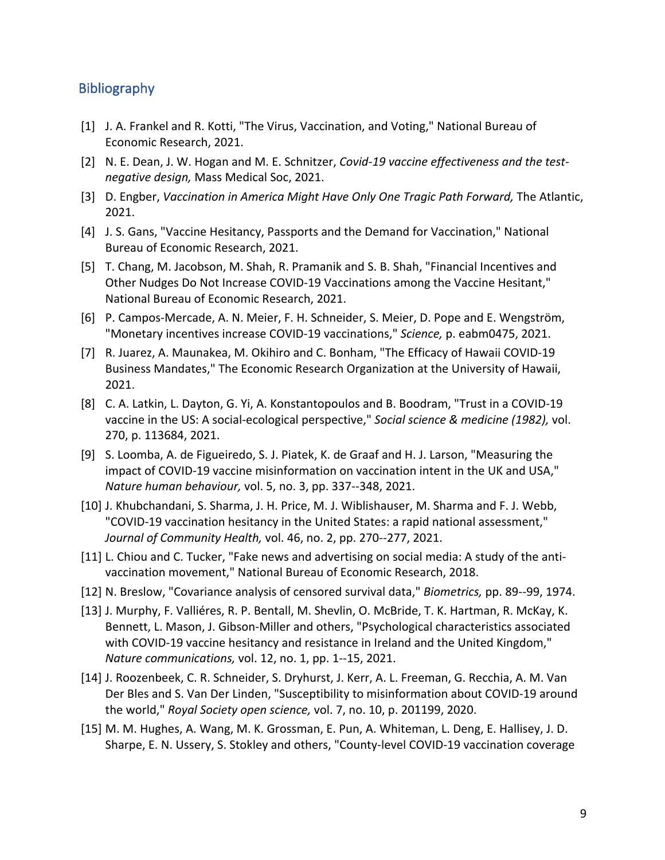# **Bibliography**

- [1] J. A. Frankel and R. Kotti, "The Virus, Vaccination, and Voting," National Bureau of Economic Research, 2021.
- [2] N. E. Dean, J. W. Hogan and M. E. Schnitzer, *Covid-19 vaccine effectiveness and the testnegative design,* Mass Medical Soc, 2021.
- [3] D. Engber, *Vaccination in America Might Have Only One Tragic Path Forward*, The Atlantic, 2021.
- [4] J. S. Gans, "Vaccine Hesitancy, Passports and the Demand for Vaccination," National Bureau of Economic Research, 2021.
- [5] T. Chang, M. Jacobson, M. Shah, R. Pramanik and S. B. Shah, "Financial Incentives and Other Nudges Do Not Increase COVID-19 Vaccinations among the Vaccine Hesitant," National Bureau of Economic Research, 2021.
- [6] P. Campos-Mercade, A. N. Meier, F. H. Schneider, S. Meier, D. Pope and E. Wengström, "Monetary incentives increase COVID-19 vaccinations," *Science,* p. eabm0475, 2021.
- [7] R. Juarez, A. Maunakea, M. Okihiro and C. Bonham, "The Efficacy of Hawaii COVID-19 Business Mandates," The Economic Research Organization at the University of Hawaii, 2021.
- [8] C. A. Latkin, L. Dayton, G. Yi, A. Konstantopoulos and B. Boodram, "Trust in a COVID-19 vaccine in the US: A social-ecological perspective," *Social science & medicine (1982),* vol. 270, p. 113684, 2021.
- [9] S. Loomba, A. de Figueiredo, S. J. Piatek, K. de Graaf and H. J. Larson, "Measuring the impact of COVID-19 vaccine misinformation on vaccination intent in the UK and USA," *Nature human behaviour,* vol. 5, no. 3, pp. 337--348, 2021.
- [10] J. Khubchandani, S. Sharma, J. H. Price, M. J. Wiblishauser, M. Sharma and F. J. Webb, "COVID-19 vaccination hesitancy in the United States: a rapid national assessment," *Journal of Community Health,* vol. 46, no. 2, pp. 270--277, 2021.
- [11] L. Chiou and C. Tucker, "Fake news and advertising on social media: A study of the antivaccination movement," National Bureau of Economic Research, 2018.
- [12] N. Breslow, "Covariance analysis of censored survival data," *Biometrics,* pp. 89--99, 1974.
- [13] J. Murphy, F. Valliéres, R. P. Bentall, M. Shevlin, O. McBride, T. K. Hartman, R. McKay, K. Bennett, L. Mason, J. Gibson-Miller and others, "Psychological characteristics associated with COVID-19 vaccine hesitancy and resistance in Ireland and the United Kingdom," *Nature communications,* vol. 12, no. 1, pp. 1--15, 2021.
- [14] J. Roozenbeek, C. R. Schneider, S. Dryhurst, J. Kerr, A. L. Freeman, G. Recchia, A. M. Van Der Bles and S. Van Der Linden, "Susceptibility to misinformation about COVID-19 around the world," *Royal Society open science,* vol. 7, no. 10, p. 201199, 2020.
- [15] M. M. Hughes, A. Wang, M. K. Grossman, E. Pun, A. Whiteman, L. Deng, E. Hallisey, J. D. Sharpe, E. N. Ussery, S. Stokley and others, "County-level COVID-19 vaccination coverage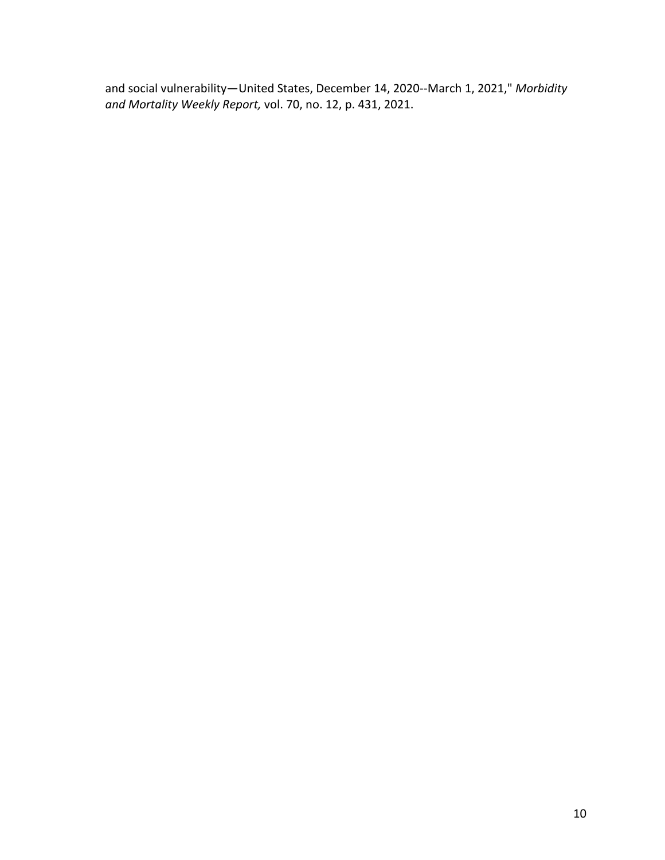and social vulnerability—United States, December 14, 2020--March 1, 2021," *Morbidity and Mortality Weekly Report,* vol. 70, no. 12, p. 431, 2021.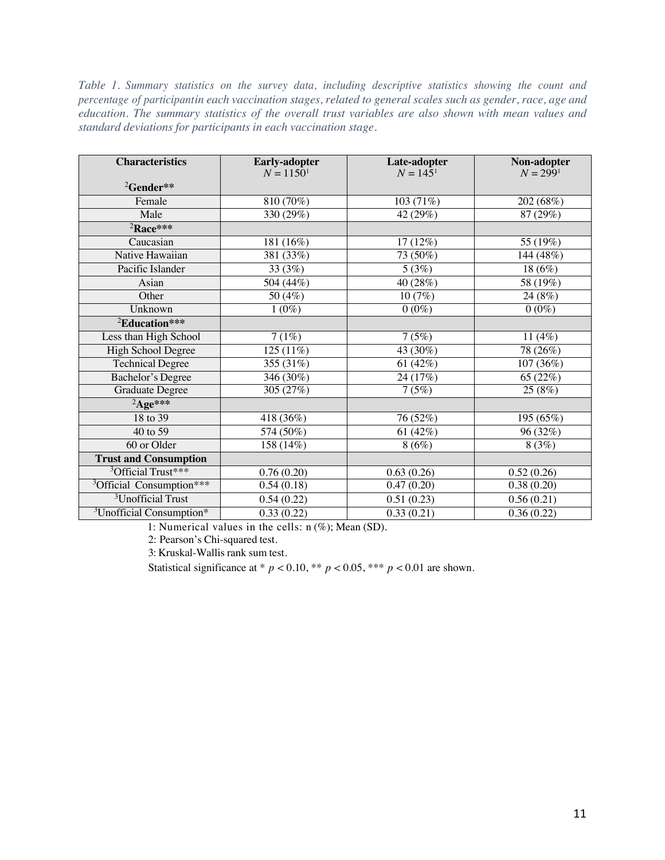*Table 1. Summary statistics on the survey data, including descriptive statistics showing the count and percentage of participantin each vaccination stages, related to general scales such as gender, race, age and education. The summary statistics of the overall trust variables are also shown with mean values and standard deviations for participants in each vaccination stage.*

| <b>Characteristics</b>               | <b>Early-adopter</b><br>$N = 1150^1$ | Late-adopter<br>$N = 1451$ | Non-adopter<br>$N = 2991$ |
|--------------------------------------|--------------------------------------|----------------------------|---------------------------|
| ${}^{2}$ Gender**                    |                                      |                            |                           |
| Female                               | 810(70%)                             | 103(71%)                   | 202 (68%)                 |
| Male                                 | 330(29%)                             | 42(29%)                    | 87(29%)                   |
| <sup>2</sup> Race***                 |                                      |                            |                           |
| Caucasian                            | 181 (16%)                            | 17 (12%)                   | 55 (19%)                  |
| Native Hawaiian                      | 381 (33%)                            | 73 (50%)                   | 144 (48%)                 |
| Pacific Islander                     | 33 (3%)                              | 5(3%)                      | 18(6%)                    |
| Asian                                | 504 (44%)                            | 40 (28%)                   | 58 (19%)                  |
| Other                                | 50 (4%)                              | 10 (7%)                    | 24 (8%)                   |
| Unknown                              | $1(0\%)$                             | $0(0\%)$                   | $0\overline{(0\%)}$       |
| <sup>2</sup> Education***            |                                      |                            |                           |
| Less than High School                | 7(1%)                                | 7(5%)                      | 11(4%)                    |
| High School Degree                   | 125 (11%)                            | $\overline{4}3(30\%)$      | 78 (26%)                  |
| <b>Technical Degree</b>              | 355 (31%)                            | 61 $(42%)$                 | 107 (36%)                 |
| <b>Bachelor's Degree</b>             | 346 (30%)                            | 24 (17%)                   | 65 (22%)                  |
| <b>Graduate Degree</b>               | 305(27%)                             | 7(5%)                      | 25(8%)                    |
| ${}^{2}$ Age***                      |                                      |                            |                           |
| 18 to 39                             | 418 (36%)                            | 76 (52%)                   | 195 (65%)                 |
| 40 to 59                             | 574 (50%)                            | 61 $(42%)$                 | 96 (32%)                  |
| 60 or Older                          | 158(14%)                             | 8(6%)                      | 8(3%)                     |
| <b>Trust and Consumption</b>         |                                      |                            |                           |
| <sup>3</sup> Official Trust***       | 0.76(0.20)                           | 0.63(0.26)                 | 0.52(0.26)                |
| <sup>3</sup> Official Consumption*** | 0.54(0.18)                           | 0.47(0.20)                 | 0.38(0.20)                |
| <sup>3</sup> Unofficial Trust        | 0.54(0.22)                           | 0.51(0.23)                 | 0.56(0.21)                |
| <sup>3</sup> Unofficial Consumption* | 0.33(0.22)                           | 0.33(0.21)                 | 0.36(0.22)                |

1: Numerical values in the cells: n (%); Mean (SD).

2: Pearson's Chi-squared test.

3: Kruskal-Wallis rank sum test.

Statistical significance at \*  $p < 0.10$ , \*\*  $p < 0.05$ , \*\*\*  $p < 0.01$  are shown.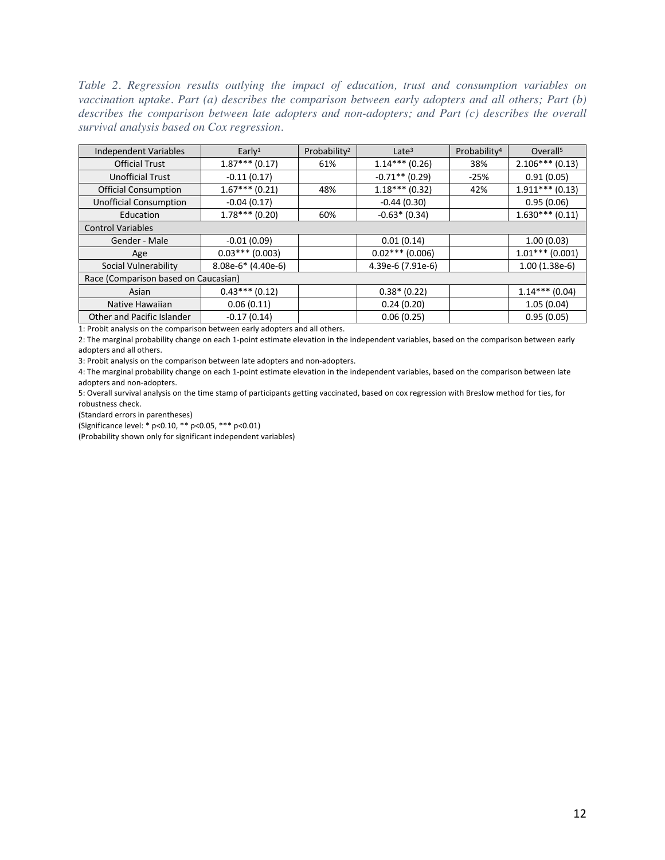*Table 2. Regression results outlying the impact of education, trust and consumption variables on vaccination uptake. Part (a) describes the comparison between early adopters and all others; Part (b) describes the comparison between late adopters and non-adopters; and Part (c) describes the overall survival analysis based on Cox regression.*

| <b>Independent Variables</b>         | Early <sup>1</sup>   | Probability <sup>2</sup> | Late $3$          | Probability <sup>4</sup> | Overall <sup>5</sup> |  |  |
|--------------------------------------|----------------------|--------------------------|-------------------|--------------------------|----------------------|--|--|
| <b>Official Trust</b>                | $1.87***(0.17)$      | 61%                      | $1.14***(0.26)$   | 38%                      | $2.106***(0.13)$     |  |  |
| <b>Unofficial Trust</b>              | $-0.11(0.17)$        |                          | $-0.71**$ (0.29)  | $-25%$                   | 0.91(0.05)           |  |  |
| <b>Official Consumption</b>          | $1.67***(0.21)$      | 48%                      | $1.18***$ (0.32)  | 42%                      | $1.911***$ (0.13)    |  |  |
| <b>Unofficial Consumption</b>        | $-0.04(0.17)$        |                          | $-0.44(0.30)$     |                          | 0.95(0.06)           |  |  |
| Education                            | $1.78***$ (0.20)     | 60%                      | $-0.63*$ (0.34)   |                          | $1.630***(0.11)$     |  |  |
| <b>Control Variables</b>             |                      |                          |                   |                          |                      |  |  |
| Gender - Male                        | $-0.01(0.09)$        |                          | 0.01(0.14)        |                          | 1.00(0.03)           |  |  |
| Age                                  | $0.03***(0.003)$     |                          | $0.02***(0.006)$  |                          | $1.01***$ (0.001)    |  |  |
| Social Vulnerability                 | $8.08e-6*$ (4.40e-6) |                          | 4.39e-6 (7.91e-6) |                          | $1.00(1.38e-6)$      |  |  |
| Race (Comparison based on Caucasian) |                      |                          |                   |                          |                      |  |  |
| Asian                                | $0.43***(0.12)$      |                          | $0.38*(0.22)$     |                          | $1.14***$ (0.04)     |  |  |
| Native Hawaiian                      | 0.06(0.11)           |                          | 0.24(0.20)        |                          | 1.05(0.04)           |  |  |
| Other and Pacific Islander           | $-0.17(0.14)$        |                          | 0.06(0.25)        |                          | 0.95(0.05)           |  |  |

1: Probit analysis on the comparison between early adopters and all others.

2: The marginal probability change on each 1-point estimate elevation in the independent variables, based on the comparison between early adopters and all others.

3: Probit analysis on the comparison between late adopters and non-adopters.

4: The marginal probability change on each 1-point estimate elevation in the independent variables, based on the comparison between late adopters and non-adopters.

5: Overall survival analysis on the time stamp of participants getting vaccinated, based on cox regression with Breslow method for ties, for robustness check.

(Standard errors in parentheses)

(Significance level: \* p<0.10, \*\* p<0.05, \*\*\* p<0.01)

(Probability shown only for significant independent variables)